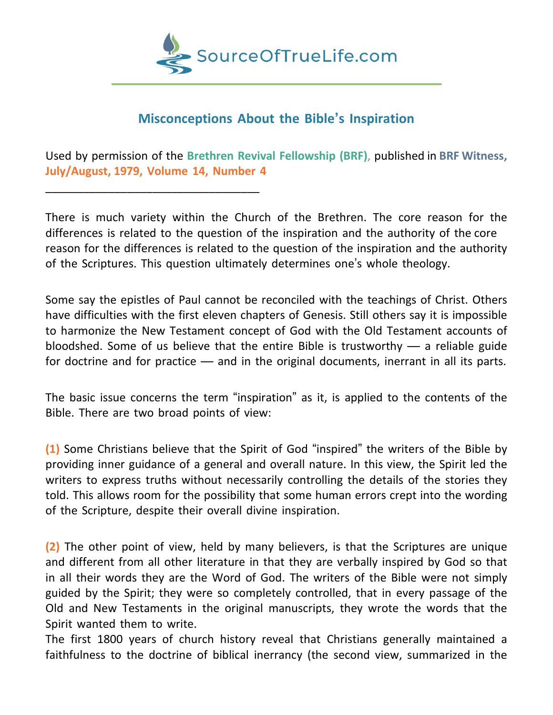

## **Misconceptions About the Bible's Inspiration**

Used by permission of the **Brethren Revival Fellowship (BRF)**, published in **BRF Witness, July/August, 1979, Volume 14, Number 4**

\_\_\_\_\_\_\_\_\_\_\_\_\_\_\_\_\_\_\_\_\_\_\_\_\_\_\_\_\_\_\_\_\_\_

There is much variety within the Church of the Brethren. The core reason for the differences is related to the question of the inspiration and the authority of the core reason for the differences is related to the question of the inspiration and the authority of the Scriptures. This question ultimately determines one's whole theology.

Some say the epistles of Paul cannot be reconciled with the teachings of Christ. Others have difficulties with the first eleven chapters of Genesis. Still others say it is impossible to harmonize the New Testament concept of God with the Old Testament accounts of bloodshed. Some of us believe that the entire Bible is trustworthy — a reliable guide for doctrine and for practice — and in the original documents, inerrant in all its parts.

The basic issue concerns the term "inspiration" as it, is applied to the contents of the Bible. There are two broad points of view:

**(1)** Some Christians believe that the Spirit of God "inspired" the writers of the Bible by providing inner guidance of a general and overall nature. In this view, the Spirit led the writers to express truths without necessarily controlling the details of the stories they told. This allows room for the possibility that some human errors crept into the wording of the Scripture, despite their overall divine inspiration.

**(2)** The other point of view, held by many believers, is that the Scriptures are unique and different from all other literature in that they are verbally inspired by God so that in all their words they are the Word of God. The writers of the Bible were not simply guided by the Spirit; they were so completely controlled, that in every passage of the Old and New Testaments in the original manuscripts, they wrote the words that the Spirit wanted them to write.

The first 1800 years of church history reveal that Christians generally maintained a faithfulness to the doctrine of biblical inerrancy (the second view, summarized in the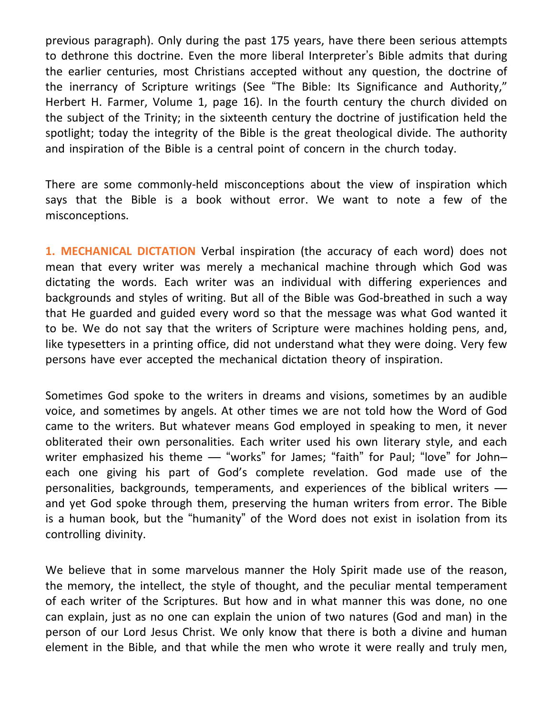previous paragraph). Only during the past 175 years, have there been serious attempts to dethrone this doctrine. Even the more liberal Interpreter's Bible admits that during the earlier centuries, most Christians accepted without any question, the doctrine of the inerrancy of Scripture writings (See "The Bible: Its Significance and Authority," Herbert H. Farmer, Volume 1, page 16). In the fourth century the church divided on the subject of the Trinity; in the sixteenth century the doctrine of justification held the spotlight; today the integrity of the Bible is the great theological divide. The authority and inspiration of the Bible is a central point of concern in the church today.

There are some commonly-held misconceptions about the view of inspiration which says that the Bible is a book without error. We want to note a few of the misconceptions.

**1. MECHANICAL DICTATION** Verbal inspiration (the accuracy of each word) does not mean that every writer was merely a mechanical machine through which God was dictating the words. Each writer was an individual with differing experiences and backgrounds and styles of writing. But all of the Bible was God-breathed in such a way that He guarded and guided every word so that the message was what God wanted it to be. We do not say that the writers of Scripture were machines holding pens, and, like typesetters in a printing office, did not understand what they were doing. Very few persons have ever accepted the mechanical dictation theory of inspiration.

Sometimes God spoke to the writers in dreams and visions, sometimes by an audible voice, and sometimes by angels. At other times we are not told how the Word of God came to the writers. But whatever means God employed in speaking to men, it never obliterated their own personalities. Each writer used his own literary style, and each writer emphasized his theme — "works" for James; "faith" for Paul; "love" for Johneach one giving his part of God's complete revelation. God made use of the personalities, backgrounds, temperaments, and experiences of the biblical writers and yet God spoke through them, preserving the human writers from error. The Bible is a human book, but the "humanity" of the Word does not exist in isolation from its controlling divinity.

We believe that in some marvelous manner the Holy Spirit made use of the reason, the memory, the intellect, the style of thought, and the peculiar mental temperament of each writer of the Scriptures. But how and in what manner this was done, no one can explain, just as no one can explain the union of two natures (God and man) in the person of our Lord Jesus Christ. We only know that there is both a divine and human element in the Bible, and that while the men who wrote it were really and truly men,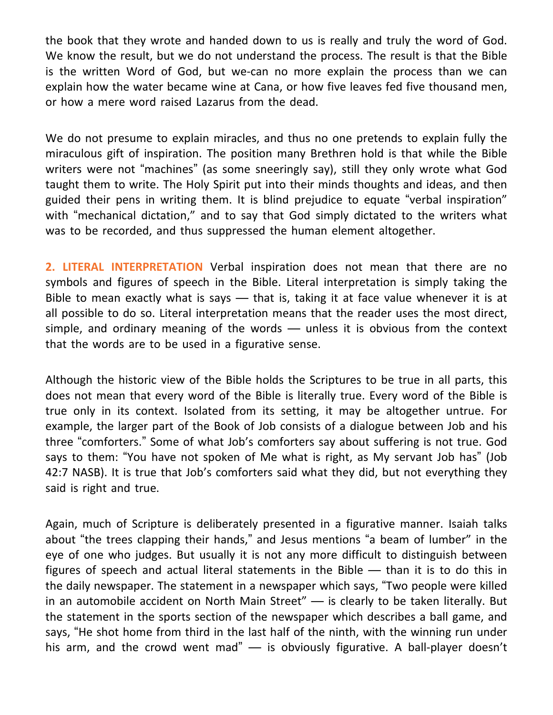the book that they wrote and handed down to us is really and truly the word of God. We know the result, but we do not understand the process. The result is that the Bible is the written Word of God, but we-can no more explain the process than we can explain how the water became wine at Cana, or how five leaves fed five thousand men, or how a mere word raised Lazarus from the dead.

We do not presume to explain miracles, and thus no one pretends to explain fully the miraculous gift of inspiration. The position many Brethren hold is that while the Bible writers were not "machines" (as some sneeringly say), still they only wrote what God taught them to write. The Holy Spirit put into their minds thoughts and ideas, and then guided their pens in writing them. It is blind prejudice to equate "verbal inspiration" with "mechanical dictation," and to say that God simply dictated to the writers what was to be recorded, and thus suppressed the human element altogether.

**2. LITERAL INTERPRETATION** Verbal inspiration does not mean that there are no symbols and figures of speech in the Bible. Literal interpretation is simply taking the Bible to mean exactly what is says — that is, taking it at face value whenever it is at all possible to do so. Literal interpretation means that the reader uses the most direct, simple, and ordinary meaning of the words — unless it is obvious from the context that the words are to be used in a figurative sense.

Although the historic view of the Bible holds the Scriptures to be true in all parts, this does not mean that every word of the Bible is literally true. Every word of the Bible is true only in its context. Isolated from its setting, it may be altogether untrue. For example, the larger part of the Book of Job consists of a dialogue between Job and his three "comforters." Some of what Job's comforters say about suffering is not true. God says to them: "You have not spoken of Me what is right, as My servant Job has" (Job 42:7 NASB). It is true that Job's comforters said what they did, but not everything they said is right and true.

Again, much of Scripture is deliberately presented in a figurative manner. Isaiah talks about "the trees clapping their hands," and Jesus mentions "a beam of lumber" in the eye of one who judges. But usually it is not any more difficult to distinguish between figures of speech and actual literal statements in the Bible — than it is to do this in the daily newspaper. The statement in a newspaper which says, "Two people were killed in an automobile accident on North Main Street" — is clearly to be taken literally. But the statement in the sports section of the newspaper which describes a ball game, and says, "He shot home from third in the last half of the ninth, with the winning run under his arm, and the crowd went mad" — is obviously figurative. A ball-player doesn't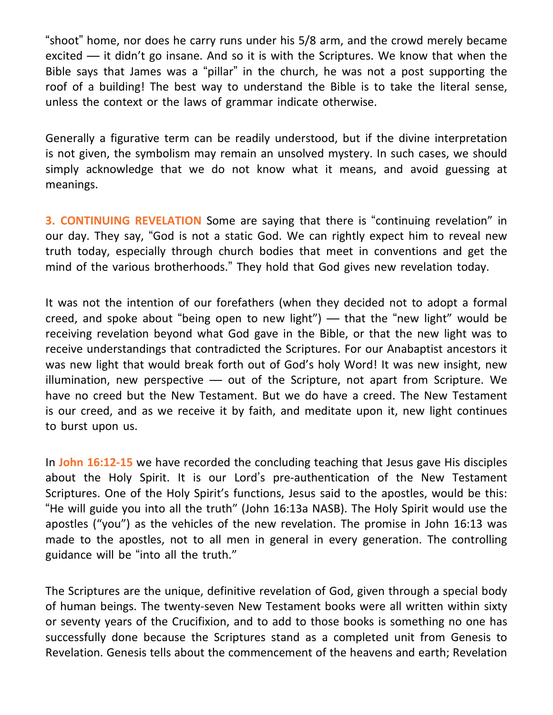"shoot" home, nor does he carry runs under his 5/8 arm, and the crowd merely became excited — it didn't go insane. And so it is with the Scriptures. We know that when the Bible says that James was a "pillar" in the church, he was not a post supporting the roof of a building! The best way to understand the Bible is to take the literal sense, unless the context or the laws of grammar indicate otherwise.

Generally a figurative term can be readily understood, but if the divine interpretation is not given, the symbolism may remain an unsolved mystery. In such cases, we should simply acknowledge that we do not know what it means, and avoid guessing at meanings.

**3. CONTINUING REVELATION** Some are saying that there is "continuing revelation" in our day. They say, "God is not a static God. We can rightly expect him to reveal new truth today, especially through church bodies that meet in conventions and get the mind of the various brotherhoods." They hold that God gives new revelation today.

It was not the intention of our forefathers (when they decided not to adopt a formal creed, and spoke about "being open to new light") — that the "new light" would be receiving revelation beyond what God gave in the Bible, or that the new light was to receive understandings that contradicted the Scriptures. For our Anabaptist ancestors it was new light that would break forth out of God's holy Word! It was new insight, new illumination, new perspective — out of the Scripture, not apart from Scripture. We have no creed but the New Testament. But we do have a creed. The New Testament is our creed, and as we receive it by faith, and meditate upon it, new light continues to burst upon us.

In **John 16:12-15** we have recorded the concluding teaching that Jesus gave His disciples about the Holy Spirit. It is our Lord's pre-authentication of the New Testament Scriptures. One of the Holy Spirit's functions, Jesus said to the apostles, would be this: "He will guide you into all the truth" (John 16:13a NASB). The Holy Spirit would use the apostles ("you") as the vehicles of the new revelation. The promise in John 16:13 was made to the apostles, not to all men in general in every generation. The controlling guidance will be "into all the truth."

The Scriptures are the unique, definitive revelation of God, given through a special body of human beings. The twenty-seven New Testament books were all written within sixty or seventy years of the Crucifixion, and to add to those books is something no one has successfully done because the Scriptures stand as a completed unit from Genesis to Revelation. Genesis tells about the commencement of the heavens and earth; Revelation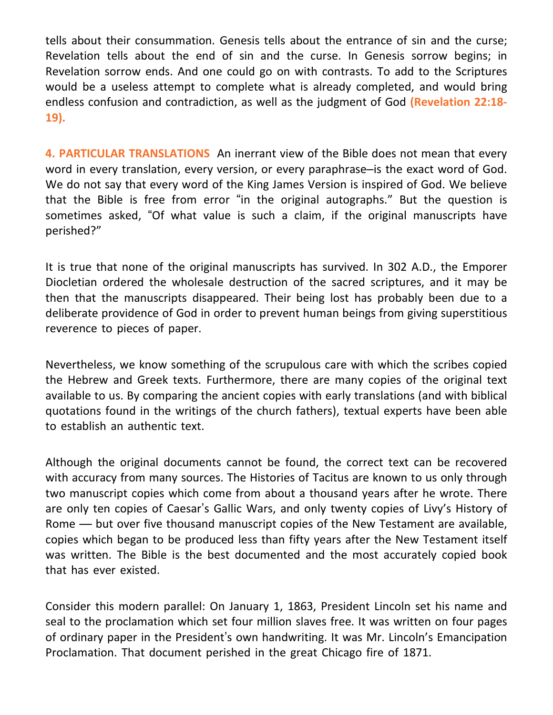tells about their consummation. Genesis tells about the entrance of sin and the curse; Revelation tells about the end of sin and the curse. In Genesis sorrow begins; in Revelation sorrow ends. And one could go on with contrasts. To add to the Scriptures would be a useless attempt to complete what is already completed, and would bring endless confusion and contradiction, as well as the judgment of God **(Revelation 22:18- 19).**

**4. PARTICULAR TRANSLATIONS** An inerrant view of the Bible does not mean that every word in every translation, every version, or every paraphrase–is the exact word of God. We do not say that every word of the King James Version is inspired of God. We believe that the Bible is free from error "in the original autographs." But the question is sometimes asked, "Of what value is such a claim, if the original manuscripts have perished?"

It is true that none of the original manuscripts has survived. In 302 A.D., the Emporer Diocletian ordered the wholesale destruction of the sacred scriptures, and it may be then that the manuscripts disappeared. Their being lost has probably been due to a deliberate providence of God in order to prevent human beings from giving superstitious reverence to pieces of paper.

Nevertheless, we know something of the scrupulous care with which the scribes copied the Hebrew and Greek texts. Furthermore, there are many copies of the original text available to us. By comparing the ancient copies with early translations (and with biblical quotations found in the writings of the church fathers), textual experts have been able to establish an authentic text.

Although the original documents cannot be found, the correct text can be recovered with accuracy from many sources. The Histories of Tacitus are known to us only through two manuscript copies which come from about a thousand years after he wrote. There are only ten copies of Caesar's Gallic Wars, and only twenty copies of Livy's History of Rome — but over five thousand manuscript copies of the New Testament are available, copies which began to be produced less than fifty years after the New Testament itself was written. The Bible is the best documented and the most accurately copied book that has ever existed.

Consider this modern parallel: On January 1, 1863, President Lincoln set his name and seal to the proclamation which set four million slaves free. It was written on four pages of ordinary paper in the President's own handwriting. It was Mr. Lincoln's Emancipation Proclamation. That document perished in the great Chicago fire of 1871.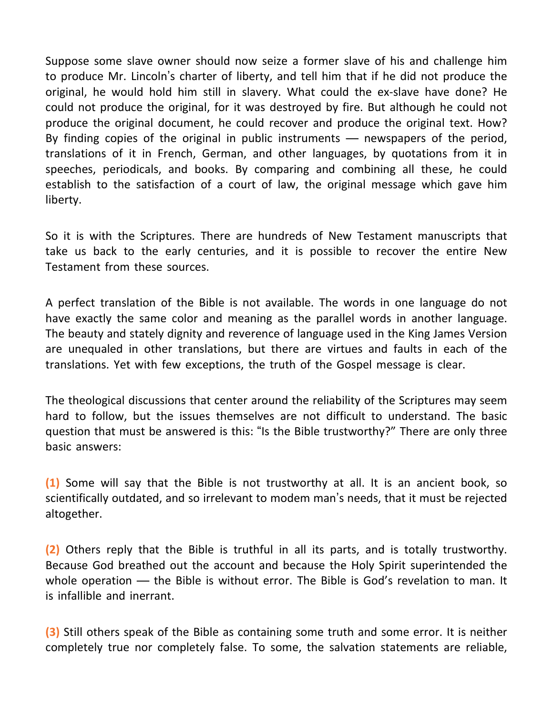Suppose some slave owner should now seize a former slave of his and challenge him to produce Mr. Lincoln's charter of liberty, and tell him that if he did not produce the original, he would hold him still in slavery. What could the ex-slave have done? He could not produce the original, for it was destroyed by fire. But although he could not produce the original document, he could recover and produce the original text. How? By finding copies of the original in public instruments — newspapers of the period, translations of it in French, German, and other languages, by quotations from it in speeches, periodicals, and books. By comparing and combining all these, he could establish to the satisfaction of a court of law, the original message which gave him liberty.

So it is with the Scriptures. There are hundreds of New Testament manuscripts that take us back to the early centuries, and it is possible to recover the entire New Testament from these sources.

A perfect translation of the Bible is not available. The words in one language do not have exactly the same color and meaning as the parallel words in another language. The beauty and stately dignity and reverence of language used in the King James Version are unequaled in other translations, but there are virtues and faults in each of the translations. Yet with few exceptions, the truth of the Gospel message is clear.

The theological discussions that center around the reliability of the Scriptures may seem hard to follow, but the issues themselves are not difficult to understand. The basic question that must be answered is this: "Is the Bible trustworthy?" There are only three basic answers:

**(1)** Some will say that the Bible is not trustworthy at all. It is an ancient book, so scientifically outdated, and so irrelevant to modem man's needs, that it must be rejected altogether.

**(2)** Others reply that the Bible is truthful in all its parts, and is totally trustworthy. Because God breathed out the account and because the Holy Spirit superintended the whole operation — the Bible is without error. The Bible is God's revelation to man. It is infallible and inerrant.

**(3)** Still others speak of the Bible as containing some truth and some error. It is neither completely true nor completely false. To some, the salvation statements are reliable,